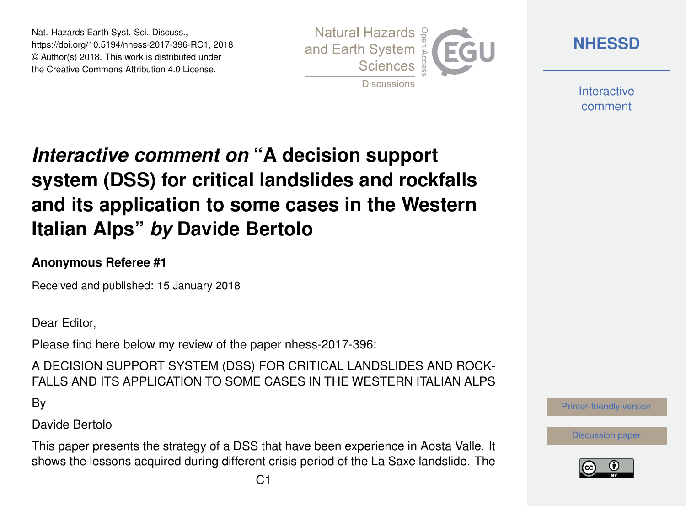Nat. Hazards Earth Syst. Sci. Discuss., https://doi.org/10.5194/nhess-2017-396-RC1, 2018 © Author(s) 2018. This work is distributed under the Creative Commons Attribution 4.0 License.



**[NHESSD](https://www.nat-hazards-earth-syst-sci-discuss.net/)**

**Interactive** comment

# *Interactive comment on* **"A decision support system (DSS) for critical landslides and rockfalls and its application to some cases in the Western Italian Alps"** *by* **Davide Bertolo**

#### **Anonymous Referee #1**

Received and published: 15 January 2018

Dear Editor,

Please find here below my review of the paper nhess-2017-396:

A DECISION SUPPORT SYSTEM (DSS) FOR CRITICAL LANDSLIDES AND ROCK-FALLS AND ITS APPLICATION TO SOME CASES IN THE WESTERN ITALIAN ALPS

By

Davide Bertolo

This paper presents the strategy of a DSS that have been experience in Aosta Valle. It shows the lessons acquired during different crisis period of the La Saxe landslide. The



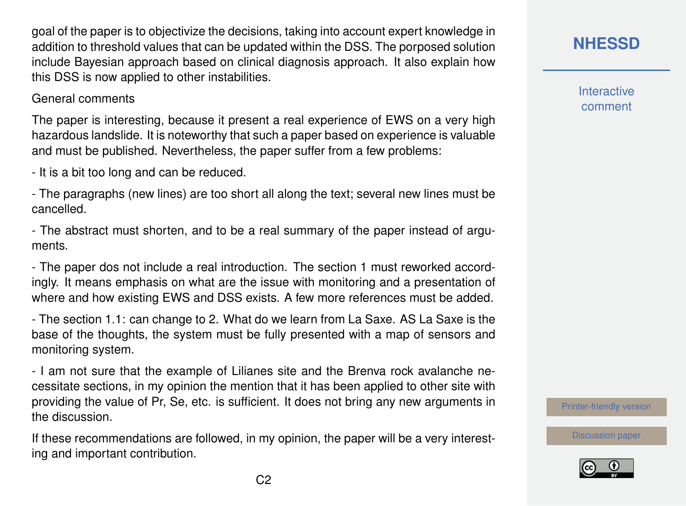goal of the paper is to objectivize the decisions, taking into account expert knowledge in addition to threshold values that can be updated within the DSS. The porposed solution include Bayesian approach based on clinical diagnosis approach. It also explain how this DSS is now applied to other instabilities.

#### General comments

The paper is interesting, because it present a real experience of EWS on a very high hazardous landslide. It is noteworthy that such a paper based on experience is valuable and must be published. Nevertheless, the paper suffer from a few problems:

- It is a bit too long and can be reduced.

- The paragraphs (new lines) are too short all along the text; several new lines must be cancelled.

- The abstract must shorten, and to be a real summary of the paper instead of arguments.

- The paper dos not include a real introduction. The section 1 must reworked accordingly. It means emphasis on what are the issue with monitoring and a presentation of where and how existing EWS and DSS exists. A few more references must be added.

- The section 1.1: can change to 2. What do we learn from La Saxe. AS La Saxe is the base of the thoughts, the system must be fully presented with a map of sensors and monitoring system.

- I am not sure that the example of Lilianes site and the Brenva rock avalanche necessitate sections, in my opinion the mention that it has been applied to other site with providing the value of Pr, Se, etc. is sufficient. It does not bring any new arguments in the discussion.

If these recommendations are followed, in my opinion, the paper will be a very interesting and important contribution.

### **[NHESSD](https://www.nat-hazards-earth-syst-sci-discuss.net/)**

**Interactive** comment

[Printer-friendly version](https://www.nat-hazards-earth-syst-sci-discuss.net/nhess-2017-396/nhess-2017-396-RC1-print.pdf)

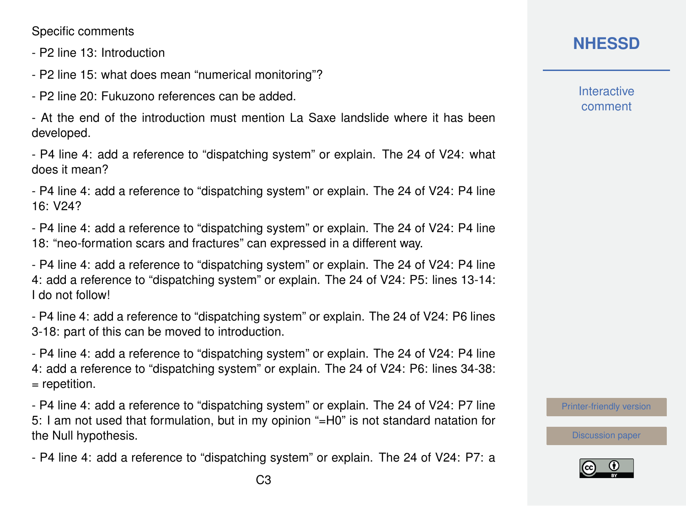Specific comments

- P2 line 13: Introduction

- P2 line 15: what does mean "numerical monitoring"?

- P2 line 20: Fukuzono references can be added.

- At the end of the introduction must mention La Saxe landslide where it has been developed.

- P4 line 4: add a reference to "dispatching system" or explain. The 24 of V24: what does it mean?

- P4 line 4: add a reference to "dispatching system" or explain. The 24 of V24: P4 line 16: V24?

- P4 line 4: add a reference to "dispatching system" or explain. The 24 of V24: P4 line 18: "neo-formation scars and fractures" can expressed in a different way.

- P4 line 4: add a reference to "dispatching system" or explain. The 24 of V24: P4 line 4: add a reference to "dispatching system" or explain. The 24 of V24: P5: lines 13-14: I do not follow!

- P4 line 4: add a reference to "dispatching system" or explain. The 24 of V24: P6 lines 3-18: part of this can be moved to introduction.

- P4 line 4: add a reference to "dispatching system" or explain. The 24 of V24: P4 line 4: add a reference to "dispatching system" or explain. The 24 of V24: P6: lines 34-38: = repetition.

- P4 line 4: add a reference to "dispatching system" or explain. The 24 of V24: P7 line 5: I am not used that formulation, but in my opinion "=H0" is not standard natation for the Null hypothesis.

- P4 line 4: add a reference to "dispatching system" or explain. The 24 of V24: P7: a

## **[NHESSD](https://www.nat-hazards-earth-syst-sci-discuss.net/)**

**Interactive** comment

[Printer-friendly version](https://www.nat-hazards-earth-syst-sci-discuss.net/nhess-2017-396/nhess-2017-396-RC1-print.pdf)